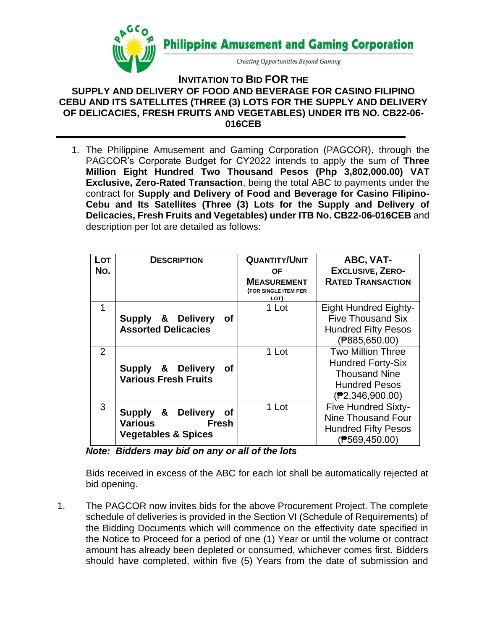

**INVITATION TO BID FOR THE SUPPLY AND DELIVERY OF FOOD AND BEVERAGE FOR CASINO FILIPINO CEBU AND ITS SATELLITES (THREE (3) LOTS FOR THE SUPPLY AND DELIVERY OF DELICACIES, FRESH FRUITS AND VEGETABLES) UNDER ITB NO. CB22-06- 016CEB**

1. The Philippine Amusement and Gaming Corporation (PAGCOR)*,* through the PAGCOR's Corporate Budget for CY2022 intends to apply the sum of **Three Million Eight Hundred Two Thousand Pesos (Php 3,802,000.00) VAT Exclusive, Zero-Rated Transaction**, being the total ABC to payments under the contract for **Supply and Delivery of Food and Beverage for Casino Filipino-Cebu and Its Satellites (Three (3) Lots for the Supply and Delivery of Delicacies, Fresh Fruits and Vegetables) under ITB No. CB22-06-016CEB** and description per lot are detailed as follows:

| Lot<br>No.     | <b>DESCRIPTION</b>                                                                   | <b>QUANTITY/UNIT</b><br><b>OF</b><br><b>MEASUREMENT</b><br>(FOR SINGLE ITEM PER<br>LOT) | ABC, VAT-<br><b>EXCLUSIVE, ZERO-</b><br><b>RATED TRANSACTION</b>                                                        |
|----------------|--------------------------------------------------------------------------------------|-----------------------------------------------------------------------------------------|-------------------------------------------------------------------------------------------------------------------------|
| 1              | Supply & Delivery<br>Οf<br><b>Assorted Delicacies</b>                                | 1 Lot                                                                                   | <b>Eight Hundred Eighty-</b><br><b>Five Thousand Six</b><br><b>Hundred Fifty Pesos</b><br>$($ P885,650.00)              |
| $\overline{2}$ | Supply & Delivery<br><b>of</b><br><b>Various Fresh Fruits</b>                        | 1 Lot                                                                                   | <b>Two Million Three</b><br><b>Hundred Forty-Six</b><br><b>Thousand Nine</b><br><b>Hundred Pesos</b><br>(₱2,346,900.00) |
| 3              | Supply & Delivery<br>0f<br><b>Various</b><br>Fresh<br><b>Vegetables &amp; Spices</b> | 1 Lot                                                                                   | <b>Five Hundred Sixty-</b><br>Nine Thousand Four<br><b>Hundred Fifty Pesos</b><br>$($ P569,450.00)                      |

*Note: Bidders may bid on any or all of the lots*

Bids received in excess of the ABC for each lot shall be automatically rejected at bid opening.

1. The PAGCOR now invites bids for the above Procurement Project. The complete schedule of deliveries is provided in the Section VI (Schedule of Requirements) of the Bidding Documents which will commence on the effectivity date specified in the Notice to Proceed for a period of one (1) Year or until the volume or contract amount has already been depleted or consumed, whichever comes first. Bidders should have completed, within five (5) Years from the date of submission and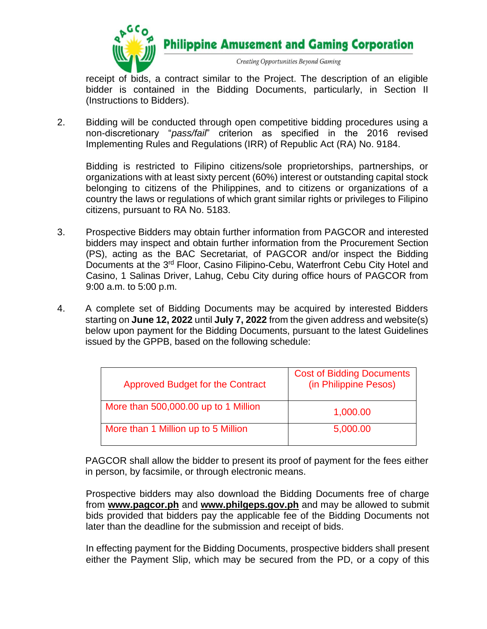

**Philippine Amusement and Gaming Corporation** 

Creating Opportunities Beyond Gaming

receipt of bids, a contract similar to the Project. The description of an eligible bidder is contained in the Bidding Documents, particularly, in Section II (Instructions to Bidders).

2. Bidding will be conducted through open competitive bidding procedures using a non-discretionary "*pass/fail*" criterion as specified in the 2016 revised Implementing Rules and Regulations (IRR) of Republic Act (RA) No. 9184.

Bidding is restricted to Filipino citizens/sole proprietorships, partnerships, or organizations with at least sixty percent (60%) interest or outstanding capital stock belonging to citizens of the Philippines, and to citizens or organizations of a country the laws or regulations of which grant similar rights or privileges to Filipino citizens, pursuant to RA No. 5183.

- 3. Prospective Bidders may obtain further information from PAGCOR and interested bidders may inspect and obtain further information from the Procurement Section (PS), acting as the BAC Secretariat, of PAGCOR and/or inspect the Bidding Documents at the 3rd Floor, Casino Filipino-Cebu, Waterfront Cebu City Hotel and Casino, 1 Salinas Driver, Lahug, Cebu City during office hours of PAGCOR from 9:00 a.m. to 5:00 p.m.
- 4. A complete set of Bidding Documents may be acquired by interested Bidders starting on **June 12, 2022** until **July 7, 2022** from the given address and website(s) below upon payment for the Bidding Documents, pursuant to the latest Guidelines issued by the GPPB, based on the following schedule:

| <b>Approved Budget for the Contract</b> | <b>Cost of Bidding Documents</b><br>(in Philippine Pesos) |
|-----------------------------------------|-----------------------------------------------------------|
| More than 500,000.00 up to 1 Million    | 1,000.00                                                  |
| More than 1 Million up to 5 Million     | 5,000.00                                                  |

PAGCOR shall allow the bidder to present its proof of payment for the fees either in person, by facsimile, or through electronic means.

Prospective bidders may also download the Bidding Documents free of charge from **[www.pagcor.ph](http://www.pagcor.ph/)** and **www.philgeps.gov.ph** and may be allowed to submit bids provided that bidders pay the applicable fee of the Bidding Documents not later than the deadline for the submission and receipt of bids.

In effecting payment for the Bidding Documents, prospective bidders shall present either the Payment Slip, which may be secured from the PD, or a copy of this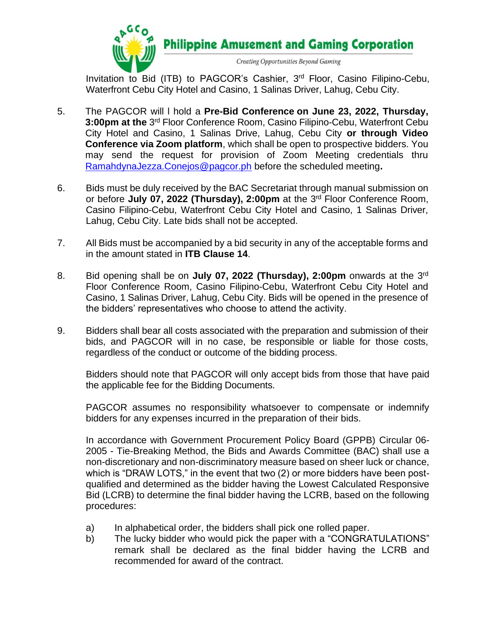

Invitation to Bid (ITB) to PAGCOR's Cashier, 3<sup>rd</sup> Floor, Casino Filipino-Cebu, Waterfront Cebu City Hotel and Casino, 1 Salinas Driver, Lahug, Cebu City.

- 5. The PAGCOR will l hold a **Pre-Bid Conference on June 23, 2022, Thursday,**  3:00pm at the 3<sup>rd</sup> Floor Conference Room, Casino Filipino-Cebu, Waterfront Cebu City Hotel and Casino, 1 Salinas Drive, Lahug, Cebu City **or through Video Conference via Zoom platform**, which shall be open to prospective bidders. You may send the request for provision of Zoom Meeting credentials thru [RamahdynaJezza.Conejos@pagcor.ph](mailto:RamahdynaJezza.Conejos@pagcor.ph) before the scheduled meeting**.**
- 6. Bids must be duly received by the BAC Secretariat through manual submission on or before July 07, 2022 (Thursday), 2:00pm at the 3<sup>rd</sup> Floor Conference Room, Casino Filipino-Cebu, Waterfront Cebu City Hotel and Casino, 1 Salinas Driver, Lahug, Cebu City. Late bids shall not be accepted.
- 7. All Bids must be accompanied by a bid security in any of the acceptable forms and in the amount stated in **ITB Clause 14**.
- 8. Bid opening shall be on **July 07, 2022 (Thursday), 2:00pm** onwards at the 3<sup>rd</sup> Floor Conference Room, Casino Filipino-Cebu, Waterfront Cebu City Hotel and Casino, 1 Salinas Driver, Lahug, Cebu City. Bids will be opened in the presence of the bidders' representatives who choose to attend the activity.
- 9. Bidders shall bear all costs associated with the preparation and submission of their bids, and PAGCOR will in no case, be responsible or liable for those costs, regardless of the conduct or outcome of the bidding process.

Bidders should note that PAGCOR will only accept bids from those that have paid the applicable fee for the Bidding Documents.

PAGCOR assumes no responsibility whatsoever to compensate or indemnify bidders for any expenses incurred in the preparation of their bids.

In accordance with Government Procurement Policy Board (GPPB) Circular 06- 2005 - Tie-Breaking Method, the Bids and Awards Committee (BAC) shall use a non-discretionary and non-discriminatory measure based on sheer luck or chance, which is "DRAW LOTS," in the event that two (2) or more bidders have been postqualified and determined as the bidder having the Lowest Calculated Responsive Bid (LCRB) to determine the final bidder having the LCRB, based on the following procedures:

- a) In alphabetical order, the bidders shall pick one rolled paper.
- b) The lucky bidder who would pick the paper with a "CONGRATULATIONS" remark shall be declared as the final bidder having the LCRB and recommended for award of the contract.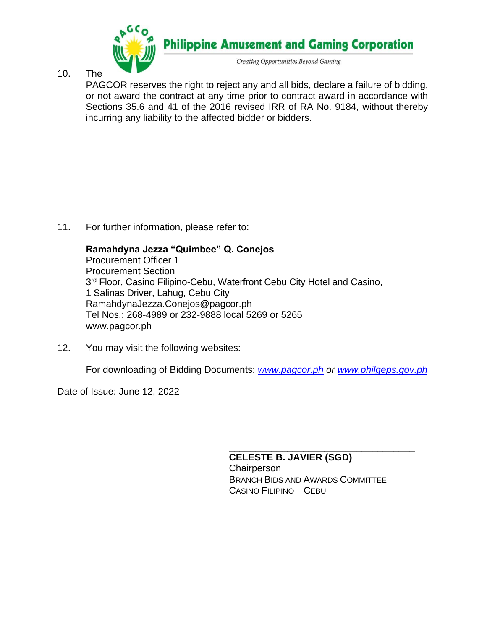

10. The

PAGCOR reserves the right to reject any and all bids, declare a failure of bidding, or not award the contract at any time prior to contract award in accordance with Sections 35.6 and 41 of the 2016 revised IRR of RA No. 9184, without thereby incurring any liability to the affected bidder or bidders.

11. For further information, please refer to:

## **Ramahdyna Jezza "Quimbee" Q. Conejos**

Procurement Officer 1 Procurement Section 3<sup>rd</sup> Floor, Casino Filipino-Cebu, Waterfront Cebu City Hotel and Casino, 1 Salinas Driver, Lahug, Cebu City RamahdynaJezza.Conejos@pagcor.ph Tel Nos.: 268-4989 or 232-9888 local 5269 or 5265 www.pagcor.ph

12. You may visit the following websites:

For downloading of Bidding Documents: *[www.pagcor.ph](http://www.pagcor.ph/) or [www.philgeps.gov.ph](http://www.philgeps.gov.ph/)*

Date of Issue: June 12, 2022

**CELESTE B. JAVIER (SGD) Chairperson** BRANCH BIDS AND AWARDS COMMITTEE CASINO FILIPINO – CEBU

\_\_\_\_\_\_\_\_\_\_\_\_\_\_\_\_\_\_\_\_\_\_\_\_\_\_\_\_\_\_\_\_\_\_\_